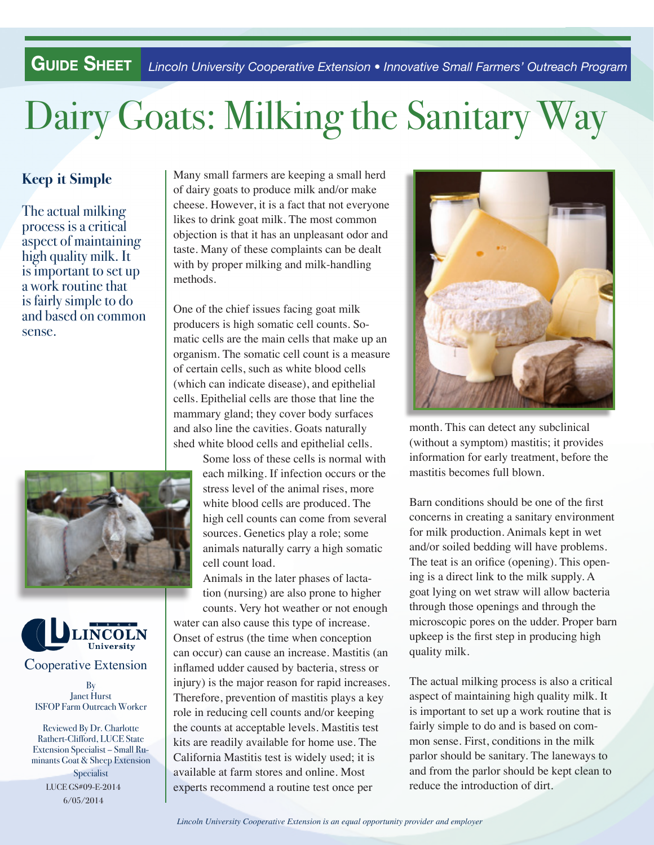**Guide Sheet** *Lincoln University Cooperative Extension • Innovative Small Farmers' Outreach Program*

## Dairy Goats: Milking the Sanitary Way

## **Keep it Simple**

The actual milking process is a critical aspect of maintaining high quality milk. It is important to set up a work routine that is fairly simple to do and based on common sense.





Janet Hurst ISFOP Farm Outreach Worker

LUCE GS#09-E-2014 6/05/2014 Reviewed By Dr. Charlotte Rathert-Clifford, LUCE State Extension Specialist – Small Ruminants Goat & Sheep Extension Specialist

 objection is that it has an unpleasant odor and Many small farmers are keeping a small herd of dairy goats to produce milk and/or make cheese. However, it is a fact that not everyone likes to drink goat milk. The most common taste. Many of these complaints can be dealt with by proper milking and milk-handling methods.

One of the chief issues facing goat milk producers is high somatic cell counts. Somatic cells are the main cells that make up an organism. The somatic cell count is a measure of certain cells, such as white blood cells (which can indicate disease), and epithelial cells. Epithelial cells are those that line the mammary gland; they cover body surfaces and also line the cavities. Goats naturally shed white blood cells and epithelial cells.

> Some loss of these cells is normal with each milking. If infection occurs or the stress level of the animal rises, more white blood cells are produced. The high cell counts can come from several sources. Genetics play a role; some animals naturally carry a high somatic cell count load.

Animals in the later phases of lactation (nursing) are also prone to higher

counts. Very hot weather or not enough water can also cause this type of increase. Onset of estrus (the time when conception can occur) can cause an increase. Mastitis (an inflamed udder caused by bacteria, stress or injury) is the major reason for rapid increases. Therefore, prevention of mastitis plays a key role in reducing cell counts and/or keeping the counts at acceptable levels. Mastitis test kits are readily available for home use. The California Mastitis test is widely used; it is available at farm stores and online. Most experts recommend a routine test once per



month. This can detect any subclinical (without a symptom) mastitis; it provides information for early treatment, before the mastitis becomes full blown.

Barn conditions should be one of the first concerns in creating a sanitary environment for milk production. Animals kept in wet and/or soiled bedding will have problems. The teat is an orifice (opening). This opening is a direct link to the milk supply. A goat lying on wet straw will allow bacteria through those openings and through the microscopic pores on the udder. Proper barn upkeep is the first step in producing high quality milk.

The actual milking process is also a critical aspect of maintaining high quality milk. It is important to set up a work routine that is fairly simple to do and is based on common sense. First, conditions in the milk parlor should be sanitary. The laneways to and from the parlor should be kept clean to reduce the introduction of dirt.